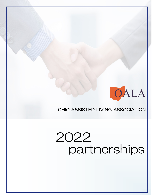

## OHIO ASSISTED LIVING ASSOCIATION

## 2022 partnerships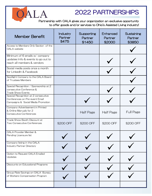

## 2022 PARTNERSHIPS

Partnership with OALA gives your organization an exclusive opportunity to offer goods and/or services to Ohio's Assisted Living industry!

| <b>Member Benefit</b>                                                                                        | <b>Industry</b><br>Partner<br>\$475 | Supporting<br>Partner<br>\$1450 | Enhanced<br>Partner<br>\$2000 | Sustaining<br>Partner<br>\$3850 |
|--------------------------------------------------------------------------------------------------------------|-------------------------------------|---------------------------------|-------------------------------|---------------------------------|
| Access to Members Only Section of the<br><b>OALA</b> website                                                 |                                     |                                 |                               |                                 |
| Minimum of 6 emails w/ company<br>updates/info & events to go out to<br>reach all members & vendors          |                                     |                                 |                               |                                 |
| Social media posts once a month<br>for Linkedln & Facebook                                                   |                                     |                                 |                               |                                 |
| Spotlight Company to the OALA Board<br>of Trustees Members                                                   |                                     |                                 |                               |                                 |
| Special Recognition / Sponsorship at 2<br>consecutive Conference &<br><b>Trade Show Events</b>               |                                     |                                 |                               |                                 |
| Special Recognition at 2 consecutive<br>Conferences on Pre-event Email<br>Campaigns & Social Media Promotion |                                     |                                 |                               |                                 |
| Company Advertisement in Printed<br>& Online Manuals for 2<br><b>Consecutive Conferences</b>                 |                                     | <b>Half Page</b>                | <b>Half Page</b>              | <b>Full Page</b>                |
| Trade Show Booth Discount at<br><b>Two Consecutive Conferences</b>                                           | \$200 OFF                           | \$200 OFF                       | \$200 OFF                     | \$200 OFF                       |
| OALA Provider Member &<br>Pending Licensure list                                                             |                                     |                                 |                               |                                 |
| Company listing in the OALA<br><b>Industry Partner Directory</b>                                             |                                     |                                 |                               |                                 |
| Option to Request OALA Emailed<br>Updates                                                                    |                                     |                                 |                               |                                 |
| Discounts on Educational Programs                                                                            |                                     |                                 |                               |                                 |
| Group Rate Savings on OALA Bureau<br>of Workers Compensation Program                                         |                                     |                                 |                               |                                 |
|                                                                                                              |                                     |                                 |                               |                                 |